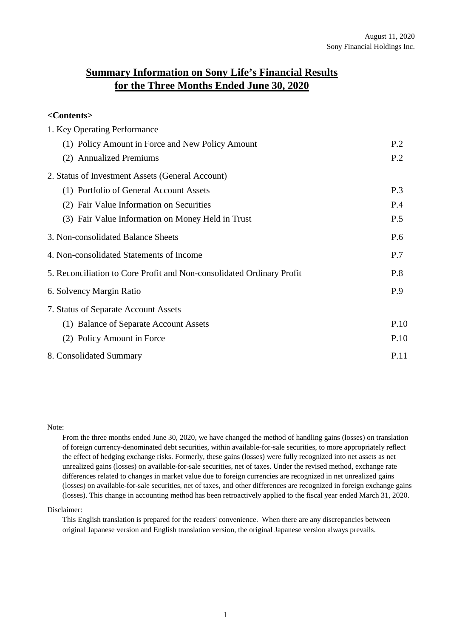# **Summary Information on Sony Life's Financial Results for the Three Months Ended June 30, 2020**

# **<Contents>**

| 1. Key Operating Performance                                          |      |
|-----------------------------------------------------------------------|------|
| (1) Policy Amount in Force and New Policy Amount                      | P.2  |
| (2) Annualized Premiums                                               | P.2  |
| 2. Status of Investment Assets (General Account)                      |      |
| (1) Portfolio of General Account Assets                               | P.3  |
| (2) Fair Value Information on Securities                              | P.4  |
| (3) Fair Value Information on Money Held in Trust                     | P.5  |
| 3. Non-consolidated Balance Sheets                                    | P.6  |
| 4. Non-consolidated Statements of Income                              | P.7  |
| 5. Reconciliation to Core Profit and Non-consolidated Ordinary Profit | P.8  |
| 6. Solvency Margin Ratio                                              | P.9  |
| 7. Status of Separate Account Assets                                  |      |
| (1) Balance of Separate Account Assets                                | P.10 |
| (2) Policy Amount in Force                                            | P.10 |
| 8. Consolidated Summary                                               | P.11 |

## Note:

From the three months ended June 30, 2020, we have changed the method of handling gains (losses) on translation of foreign currency-denominated debt securities, within available-for-sale securities, to more appropriately reflect the effect of hedging exchange risks. Formerly, these gains (losses) were fully recognized into net assets as net unrealized gains (losses) on available-for-sale securities, net of taxes. Under the revised method, exchange rate differences related to changes in market value due to foreign currencies are recognized in net unrealized gains (losses) on available-for-sale securities, net of taxes, and other differences are recognized in foreign exchange gains (losses). This change in accounting method has been retroactively applied to the fiscal year ended March 31, 2020.

## Disclaimer:

This English translation is prepared for the readers' convenience. When there are any discrepancies between original Japanese version and English translation version, the original Japanese version always prevails.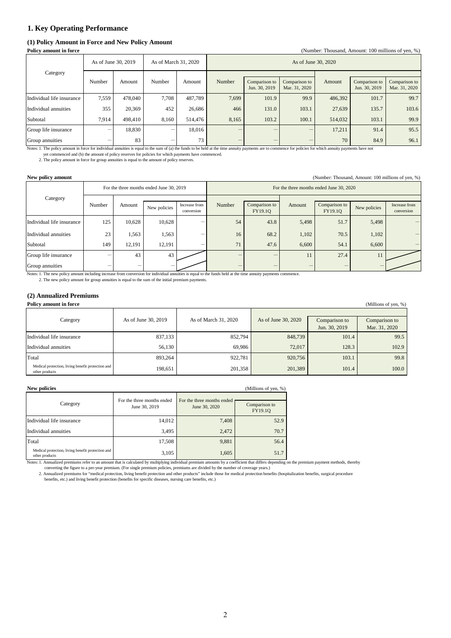## **1. Key Operating Performance**

## **(1) Policy Amount in Force and New Policy Amount**

| <b>Policy amount in force</b><br>(Number: Thousand, Amount: 100 millions of yen, %) |                     |         |                      |         |                     |                                                                  |       |         |                                |                                |
|-------------------------------------------------------------------------------------|---------------------|---------|----------------------|---------|---------------------|------------------------------------------------------------------|-------|---------|--------------------------------|--------------------------------|
|                                                                                     | As of June 30, 2019 |         | As of March 31, 2020 |         | As of June 30, 2020 |                                                                  |       |         |                                |                                |
| Category                                                                            | Number              | Amount  | Number               | Amount  | Number              | Comparison to<br>Comparison to<br>Jun. 30, 2019<br>Mar. 31, 2020 |       | Amount  | Comparison to<br>Jun. 30, 2019 | Comparison to<br>Mar. 31, 2020 |
| Individual life insurance                                                           | 7,559               | 478,040 | 7.708                | 487.789 | 7.699               | 101.9                                                            | 99.9  | 486,392 | 101.7                          | 99.7                           |
| Individual annuities                                                                | 355                 | 20,369  | 452                  | 26,686  | 466                 | 131.0                                                            | 103.1 | 27,639  | 135.7                          | 103.6                          |
| Subtotal                                                                            | 7.914               | 498.410 | 8.160                | 514,476 | 8.165               | 103.2                                                            | 100.1 | 514,032 | 103.1                          | 99.9                           |
| Group life insurance                                                                |                     | 18,830  |                      | 18,016  |                     |                                                                  | -     | 17.211  | 91.4                           | 95.5                           |
| Group annuities                                                                     |                     | 83      |                      | 73      |                     | $\overline{\phantom{a}}$                                         |       | 70      | 84.9                           | 96.1                           |

Notes: 1. The policy amount in force for individual annuities is equal to the sum of (a) the funds to be held at the time annuity payments are to commence for policies for which annuity payments have not

yet commenced and (b) the amount of policy reserves for policies for which payments have commenced. 2. The policy amount in force for group annuities is equal to the amount of policy reserves.

**New policy amount** (Number: Thousand, Amount: 100 millions of yen, %)

|                           | For the three months ended June 30, 2019 |        |              |                             |                          | For the three months ended June 30, 2020 |        |                          |              |                             |  |
|---------------------------|------------------------------------------|--------|--------------|-----------------------------|--------------------------|------------------------------------------|--------|--------------------------|--------------|-----------------------------|--|
| Category                  | Number                                   | Amount | New policies | Increase from<br>conversion | Number                   | Comparison to<br>FY19.10                 | Amount | Comparison to<br>FY19.10 | New policies | Increase from<br>conversion |  |
| Individual life insurance | 125                                      | 10,628 | 10,628       | -                           | 54                       | 43.8                                     | 5,498  | 51.7                     | 5,498        |                             |  |
| Individual annuities      | 23                                       | 1,563  | 1,563        |                             | 16                       | 68.2                                     | 1,102  | 70.5                     | 1,102        |                             |  |
| Subtotal                  | 149                                      | 12,191 | 12,191       |                             | 71                       | 47.6                                     | 6,600  | 54.1                     | 6,600        |                             |  |
| Group life insurance      |                                          | 43     | 43           |                             | $\overline{\phantom{a}}$ | $\overline{\phantom{a}}$                 | 11     | 27.4                     | 11           |                             |  |
| Group annuities           |                                          |        |              |                             |                          | -                                        |        | $\overline{\phantom{a}}$ |              |                             |  |

Notes: 1. The new policy amount including increase from conversion for individual annuities is equal to the funds held at the time annuity payments commence.

2. The new policy amount for group annuities is equal to the sum of the initial premium payments.

## **(2) Annualized Premiums**

| <b>Policy amount in force</b>                                       |                     |                      |                     |               | (Millions of yen, %) |
|---------------------------------------------------------------------|---------------------|----------------------|---------------------|---------------|----------------------|
|                                                                     |                     |                      |                     |               |                      |
| Category                                                            | As of June 30, 2019 | As of March 31, 2020 | As of June 30, 2020 | Comparison to | Comparison to        |
|                                                                     |                     |                      |                     | Jun. 30, 2019 | Mar. 31, 2020        |
| Individual life insurance                                           | 837,133             | 852,794              | 848,739             | 101.4         | 99.5                 |
| Individual annuities                                                | 56,130              | 69.986               | 72.017              | 128.3         | 102.9                |
| Total                                                               | 893.264             | 922.781              | 920,756             | 103.1         | 99.8                 |
| Medical protection, living benefit protection and<br>other products | 198,651             | 201,358              | 201,389             | 101.4         | 100.0                |

### **New policies** (Millions of yen, %)

|                                                                     | For the three months ended |                                             |                          |
|---------------------------------------------------------------------|----------------------------|---------------------------------------------|--------------------------|
| Category                                                            | June 30, 2019              | For the three months ended<br>June 30, 2020 | Comparison to<br>FY19.10 |
| Individual life insurance                                           | 14,012                     | 7,408                                       | 52.9                     |
| Individual annuities                                                | 3,495                      | 2,472                                       | 70.7                     |
| Total                                                               | 17,508                     | 9,881                                       | 56.4                     |
| Medical protection, living benefit protection and<br>other products | 3,105                      | 1,605                                       | 51.7                     |

Notes: 1. Annualized premiums refer to an amount that is calculated by multiplying individual premium amounts by a coefficient that differs depending on the premium payment methods, thereby converting the figure to a per-year premium. (For single premium policies, premiums are divided by the number of coverage years.)

2. Annualized premiums for "medical protection, living benefit protection and other products" include those for medical protection benefits (hospitalization benefits, surgical procedure benefits, etc.) and living benefit protection (benefits for specific diseases, nursing care benefits, etc.)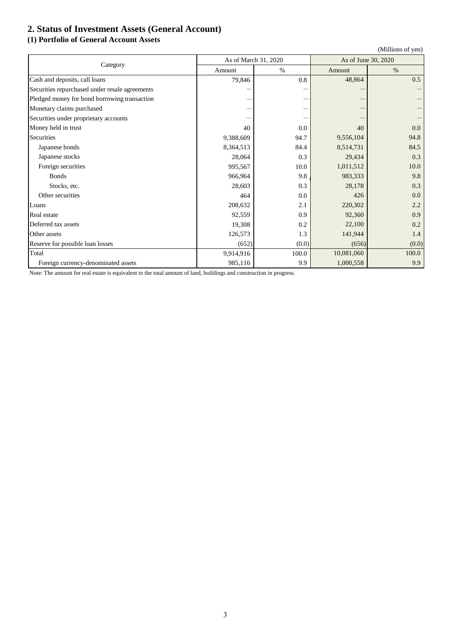# **2. Status of Investment Assets (General Account)**

# **(1) Portfolio of General Account Assets**

|                                                |           |                      |            | (Millions of yen)   |  |  |
|------------------------------------------------|-----------|----------------------|------------|---------------------|--|--|
| Category                                       |           | As of March 31, 2020 |            | As of June 30, 2020 |  |  |
|                                                | Amount    | $\%$                 | Amount     | $\%$                |  |  |
| Cash and deposits, call loans                  | 79,846    | 0.8                  | 48,864     | 0.5                 |  |  |
| Securities repurchased under resale agreements |           |                      |            |                     |  |  |
| Pledged money for bond borrowing transaction   |           | -                    |            |                     |  |  |
| Monetary claims purchased                      |           |                      |            |                     |  |  |
| Securities under proprietary accounts          |           |                      |            |                     |  |  |
| Money held in trust                            | 40        | 0.0                  | 40         | 0.0                 |  |  |
| Securities                                     | 9,388,609 | 94.7                 | 9,556,104  | 94.8                |  |  |
| Japanese bonds                                 | 8,364,513 | 84.4                 | 8,514,731  | 84.5                |  |  |
| Japanese stocks                                | 28,064    | 0.3                  | 29,434     | 0.3                 |  |  |
| Foreign securities                             | 995,567   | 10.0                 | 1,011,512  | 10.0                |  |  |
| <b>Bonds</b>                                   | 966,964   | 9.8                  | 983,333    | 9.8                 |  |  |
| Stocks, etc.                                   | 28,603    | 0.3                  | 28,178     | 0.3                 |  |  |
| Other securities                               | 464       | 0.0                  | 426        | 0.0                 |  |  |
| Loans                                          | 208,632   | 2.1                  | 220,302    | 2.2                 |  |  |
| Real estate                                    | 92,559    | 0.9                  | 92,360     | 0.9                 |  |  |
| Deferred tax assets                            | 19,308    | 0.2                  | 22,100     | 0.2                 |  |  |
| Other assets                                   | 126,573   | 1.3                  | 141,944    | 1.4                 |  |  |
| Reserve for possible loan losses               | (652)     | (0.0)                | (656)      | (0.0)               |  |  |
| Total                                          | 9,914,916 | 100.0                | 10,081,060 | 100.0               |  |  |
| Foreign currency-denominated assets            | 985,116   | 9.9                  | 1,000,558  | 9.9                 |  |  |

Note: The amount for real estate is equivalent to the total amount of land, buildings and construction in progress.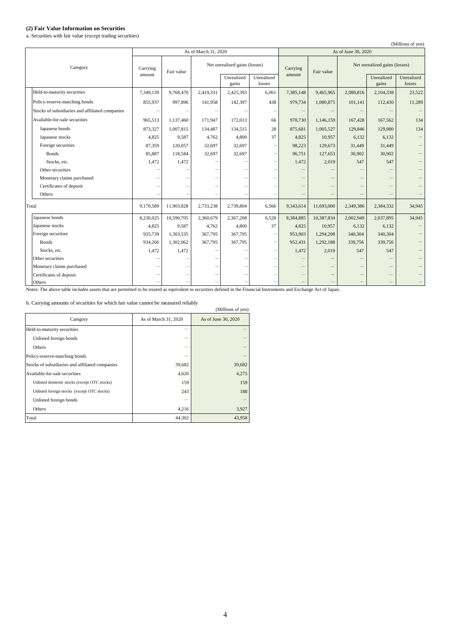## **(2) Fair Value Information on Securities**

a. Securities with fair value (except trading securities)

|                                                 |                      |            |           |                               |                      |                                 |                     |                               |                          | (Millions of yen)    |
|-------------------------------------------------|----------------------|------------|-----------|-------------------------------|----------------------|---------------------------------|---------------------|-------------------------------|--------------------------|----------------------|
|                                                 | As of March 31, 2020 |            |           |                               |                      |                                 | As of June 30, 2020 |                               |                          |                      |
| Category                                        | Carrying             | Fair value |           | Net unrealized gains (losses) |                      | Carrying                        | Fair value          | Net unrealized gains (losses) |                          |                      |
|                                                 | amount               |            |           | Unrealized<br>gains           | Unrealized<br>losses | amount                          |                     |                               | Unrealized<br>gains      | Unrealized<br>losses |
| Held-to-maturity securities                     | 7,349,139            | 9,768,470  | 2,419,331 | 2,425,393                     | 6,061                | 7,385,148                       | 9,465,965           | 2,080,816                     | 2,104,338                | 23,522               |
| Policy-reserve-matching bonds                   | 855,937              | 997,896    | 141,958   | 142,397                       | 438                  | 979,734                         | 1,080,875           | 101,141                       | 112,430                  | 11,289               |
| Stocks of subsidiaries and affiliated companies |                      |            |           |                               |                      |                                 |                     |                               |                          |                      |
| Available-for-sale securities                   | 965,513              | 1,137,460  | 171,947   | 172,013                       | 66                   | 978,730                         | 1,146,159           | 167,428                       | 167,562                  | 134                  |
| Japanese bonds                                  | 873,327              | 1,007,815  | 134,487   | 134,515                       | 28                   | 875,681                         | 1,005,527           | 129,846                       | 129,980                  | 134                  |
| Japanese stocks                                 | 4,825                | 9,587      | 4,762     | 4,800                         | 37                   | 4,825                           | 10,957              | 6,132                         | 6,132                    |                      |
| Foreign securities                              | 87,359               | 120,057    | 32,697    | 32,697                        |                      | 98,223                          | 129,673             | 31,449                        | 31,449                   |                      |
| <b>Bonds</b>                                    | 85,887               | 118,584    | 32,697    | 32,697                        | -                    | 96,751                          | 127,653             | 30,902                        | 30,902                   |                      |
| Stocks, etc.                                    | 1.472                | 1.472      |           |                               | ۰                    | 1.472                           | 2,019               | 547                           | 547                      |                      |
| Other securities                                |                      |            |           |                               |                      |                                 |                     |                               |                          |                      |
| Monetary claims purchased                       |                      |            |           |                               |                      |                                 |                     |                               | $\overline{\phantom{0}}$ |                      |
| Certificates of deposit                         |                      |            |           |                               |                      |                                 |                     |                               |                          |                      |
| Others                                          |                      |            |           |                               |                      |                                 |                     |                               |                          |                      |
| Total                                           | 9,170,589            | 11,903,828 | 2,733,238 | 2,739,804                     | 6,566                | 9,343,614                       | 11,693,000          | 2,349,386                     | 2,384,332                | 34,945               |
| Japanese bonds                                  | 8,230,025            | 10,590,705 | 2,360,679 | 2,367,208                     | 6,528                | 8,384,885                       | 10,387,834          | 2,002,949                     | 2,037,895                | 34,945               |
| Japanese stocks                                 | 4,825                | 9,587      | 4,762     | 4,800                         | 37                   | 4,825                           | 10,957              | 6,132                         | 6,132                    |                      |
| Foreign securities                              | 935,739              | 1,303,535  | 367,795   | 367,795                       |                      | 953,903                         | 1,294,208           | 340,304                       | 340,304                  |                      |
| <b>Bonds</b>                                    | 934,266              | 1,302,062  | 367,795   | 367,795                       | -                    | 952,431                         | 1,292,188           | 339,756                       | 339,756                  |                      |
| Stocks, etc.                                    | 1.472                | 1.472      |           |                               |                      | 1.472                           | 2,019               | 547                           | 547                      |                      |
| Other securities                                |                      |            |           |                               |                      |                                 |                     |                               |                          |                      |
| Monetary claims purchased                       |                      |            |           |                               |                      | $\hspace{0.1mm}-\hspace{0.1mm}$ |                     |                               |                          |                      |
| Certificates of deposit                         |                      |            |           |                               |                      |                                 |                     |                               |                          |                      |
| Others                                          |                      |            |           |                               |                      |                                 |                     |                               |                          |                      |

Notes: The above table includes assets that are permitted to be treated as equivalent to securities defined in the Financial Instruments and Exchange Act of Japan.

b. Carrying amounts of securities for which fair value cannot be measured reliably

|                                                 |                      | (Millions of yen)   |  |
|-------------------------------------------------|----------------------|---------------------|--|
| Category                                        | As of March 31, 2020 | As of June 30, 2020 |  |
| Held-to-maturity securities                     |                      |                     |  |
| Unlisted foreign bonds                          |                      |                     |  |
| Others                                          |                      |                     |  |
| Policy-reserve-matching bonds                   |                      |                     |  |
| Stocks of subsidiaries and affiliated companies | 39,682               | 39,682              |  |
| Available-for-sale securities                   | 4,620                | 4,275               |  |
| Unlisted domestic stocks (except OTC stocks)    | 159                  | 159                 |  |
| Unlisted foreign stocks (except OTC stocks)     | 243                  | 188                 |  |
| Unlisted foreign bonds                          |                      |                     |  |
| Others                                          | 4,216                | 3,927               |  |
| Total                                           | 44,302               | 43,958              |  |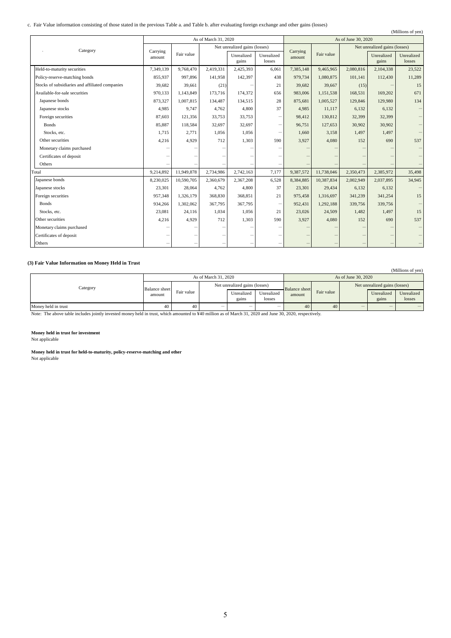### c. Fair Value information consisting of those stated in the previous Table a. and Table b. after evaluating foreign exchange and other gains (losses)

| Tan Value information consisting of those stated in the previous Table a, and Table b, after evaluating foreign exchange and other gains (fosses)<br>(Millions of yen) |                    |            |                               |            |                          |                     |            |                               |            |            |
|------------------------------------------------------------------------------------------------------------------------------------------------------------------------|--------------------|------------|-------------------------------|------------|--------------------------|---------------------|------------|-------------------------------|------------|------------|
|                                                                                                                                                                        |                    |            | As of March 31, 2020          |            |                          | As of June 30, 2020 |            |                               |            |            |
| Category                                                                                                                                                               |                    |            | Net unrealized gains (losses) |            |                          |                     |            | Net unrealized gains (losses) |            |            |
|                                                                                                                                                                        | Carrying<br>amount | Fair value |                               | Unrealized | Unrealized               | Carrying<br>amount  | Fair value |                               | Unrealized | Unrealized |
|                                                                                                                                                                        |                    |            |                               | gains      | losses                   |                     |            |                               | gains      | losses     |
| Held-to-maturity securities                                                                                                                                            | 7,349,139          | 9,768,470  | 2,419,331                     | 2,425,393  | 6,061                    | 7,385,148           | 9,465,965  | 2,080,816                     | 2,104,338  | 23,522     |
| Policy-reserve-matching bonds                                                                                                                                          | 855,937            | 997,896    | 141,958                       | 142,397    | 438                      | 979,734             | 1,080,875  | 101,141                       | 112,430    | 11,289     |
| Stocks of subsidiaries and affiliated companies                                                                                                                        | 39,682             | 39,661     | (21)                          |            | 21                       | 39,682              | 39,667     | (15)                          |            | 15         |
| Available-for-sale securities                                                                                                                                          | 970,133            | 1,143,849  | 173,716                       | 174,372    | 656                      | 983,006             | 1,151,538  | 168,531                       | 169,202    | 671        |
| Japanese bonds                                                                                                                                                         | 873,327            | 1,007,815  | 134,487                       | 134,515    | 28                       | 875,681             | 1,005,527  | 129,846                       | 129,980    | 134        |
| Japanese stocks                                                                                                                                                        | 4,985              | 9,747      | 4,762                         | 4,800      | 37                       | 4,985               | 11,117     | 6,132                         | 6,132      |            |
| Foreign securities                                                                                                                                                     | 87,603             | 121,356    | 33,753                        | 33,753     |                          | 98,412              | 130,812    | 32,399                        | 32,399     |            |
| <b>Bonds</b>                                                                                                                                                           | 85,887             | 118,584    | 32,697                        | 32,697     | $\overline{\phantom{0}}$ | 96,751              | 127,653    | 30,902                        | 30,902     |            |
| Stocks, etc.                                                                                                                                                           | 1.715              | 2,771      | 1,056                         | 1,056      | -                        | 1,660               | 3,158      | 1,497                         | 1,497      |            |
| Other securities                                                                                                                                                       | 4,216              | 4,929      | 712                           | 1,303      | 590                      | 3,927               | 4,080      | 152                           | 690        | 537        |
| Monetary claims purchased                                                                                                                                              |                    |            |                               |            |                          |                     |            |                               |            |            |
| Certificates of deposit                                                                                                                                                |                    |            |                               |            |                          |                     |            |                               |            |            |
| Others                                                                                                                                                                 |                    |            |                               |            |                          |                     |            |                               |            |            |
| Total                                                                                                                                                                  | 9,214,892          | 11,949,878 | 2,734,986                     | 2,742,163  | 7,177                    | 9,387,572           | 11,738,046 | 2,350,473                     | 2,385,972  | 35,498     |
| Japanese bonds                                                                                                                                                         | 8,230,025          | 10,590,705 | 2,360,679                     | 2,367,208  | 6,528                    | 8,384,885           | 10,387,834 | 2,002,949                     | 2,037,895  | 34,945     |
| Japanese stocks                                                                                                                                                        | 23,301             | 28,064     | 4,762                         | 4,800      | 37                       | 23,301              | 29,434     | 6,132                         | 6,132      |            |
| Foreign securities                                                                                                                                                     | 957,348            | 1,326,179  | 368,830                       | 368,851    | 21                       | 975,458             | 1,316,697  | 341,239                       | 341,254    | 15         |
| <b>Bonds</b>                                                                                                                                                           | 934,266            | 1,302,062  | 367,795                       | 367,795    |                          | 952,431             | 1,292,188  | 339,756                       | 339,756    |            |
| Stocks, etc.                                                                                                                                                           | 23,081             | 24,116     | 1,034                         | 1,056      | 21                       | 23,026              | 24,509     | 1,482                         | 1,497      | 15         |
| Other securities                                                                                                                                                       | 4,216              | 4,929      | 712                           | 1,303      | 590                      | 3,927               | 4,080      | 152                           | 690        | 537        |
| Monetary claims purchased                                                                                                                                              |                    |            |                               |            |                          |                     |            |                               |            |            |
| Certificates of deposit                                                                                                                                                |                    |            |                               |            |                          |                     |            |                               |            |            |
| Others                                                                                                                                                                 |                    |            |                               |            |                          |                     |            |                               |            |            |

## **(3) Fair Value Information on Money Held in Trust**

| . .                 |                                |            |                                    |                          |                          |                      |            |                               |                          | (Millions of yen) |
|---------------------|--------------------------------|------------|------------------------------------|--------------------------|--------------------------|----------------------|------------|-------------------------------|--------------------------|-------------------|
|                     |                                |            | As of June 30, 2020                |                          |                          |                      |            |                               |                          |                   |
| Category            | <b>Balance</b> sheet<br>amount | Fair value | Net unrealized gains (losses)      |                          |                          | <b>Balance</b> sheet |            | Net unrealized gains (losses) |                          |                   |
|                     |                                |            | Unrealized<br>Unrealized<br>amount |                          | Fair value               |                      | Unrealized | Unrealized                    |                          |                   |
|                     |                                |            |                                    | gains                    | losses                   |                      |            |                               | gains                    | losses            |
| Money held in trust | 40                             | 40         | $\overline{\phantom{a}}$           | $\overline{\phantom{a}}$ | $\overline{\phantom{a}}$ | 40                   | 40         | $\overline{\phantom{a}}$      | $\overline{\phantom{a}}$ |                   |

Note: The above table includes jointly invested money held in trust, which amounted to ¥40 million as of March 31, 2020 and June 30, 2020, respectively.

### **Money held in trust for investment**

Not applicable

## **Money held in trust for held-to-maturity, policy-reserve-matching and other**

Not applicable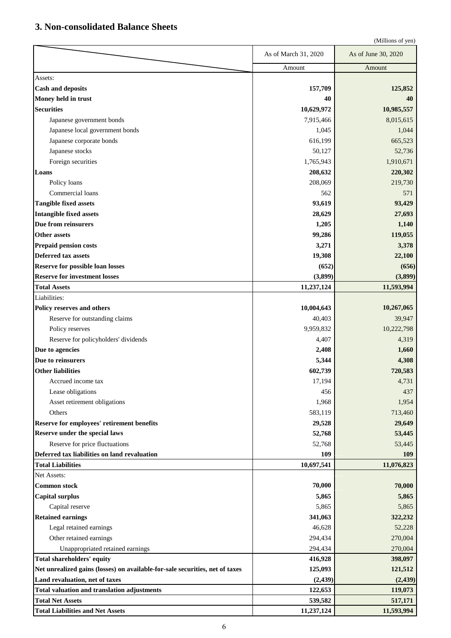# **3. Non-consolidated Balance Sheets**

|                                                                              |                      | (Millions of yen)   |
|------------------------------------------------------------------------------|----------------------|---------------------|
|                                                                              | As of March 31, 2020 | As of June 30, 2020 |
|                                                                              | Amount               | Amount              |
| Assets:                                                                      |                      |                     |
| <b>Cash and deposits</b>                                                     | 157,709              | 125,852             |
| Money held in trust                                                          | 40                   | 40                  |
| <b>Securities</b>                                                            | 10,629,972           | 10,985,557          |
| Japanese government bonds                                                    | 7,915,466            | 8,015,615           |
| Japanese local government bonds                                              | 1,045                | 1,044               |
| Japanese corporate bonds                                                     | 616,199              | 665,523             |
| Japanese stocks                                                              | 50,127               | 52,736              |
| Foreign securities                                                           | 1,765,943            | 1,910,671           |
| Loans                                                                        | 208,632              | 220,302             |
| Policy loans                                                                 | 208,069              | 219,730             |
| Commercial loans                                                             | 562                  | 571                 |
| <b>Tangible fixed assets</b>                                                 | 93,619               | 93,429              |
| Intangible fixed assets                                                      | 28,629               | 27,693              |
| Due from reinsurers                                                          | 1,205                | 1,140               |
| Other assets                                                                 | 99,286               | 119,055             |
| Prepaid pension costs                                                        | 3,271                | 3,378               |
| <b>Deferred tax assets</b>                                                   | 19,308               | 22,100              |
| <b>Reserve for possible loan losses</b>                                      | (652)                | (656)               |
| <b>Reserve for investment losses</b>                                         | (3,899)              | (3,899)             |
| <b>Total Assets</b>                                                          | 11,237,124           | 11,593,994          |
| Liabilities:                                                                 |                      |                     |
| Policy reserves and others                                                   | 10,004,643           | 10,267,065          |
| Reserve for outstanding claims                                               | 40,403               | 39,947              |
| Policy reserves                                                              | 9,959,832            | 10,222,798          |
| Reserve for policyholders' dividends                                         | 4,407                | 4,319               |
| Due to agencies                                                              | 2,408                | 1,660               |
| Due to reinsurers                                                            | 5,344                | 4,308               |
| <b>Other liabilities</b>                                                     | 602,739              | 720,583             |
| Accrued income tax                                                           | 17,194               | 4,731               |
| Lease obligations                                                            | 456                  | 437                 |
| Asset retirement obligations                                                 | 1,968                | 1,954               |
| Others                                                                       | 583,119              | 713,460             |
| Reserve for employees' retirement benefits                                   | 29,528               | 29,649              |
| Reserve under the special laws                                               | 52,768               | 53,445              |
| Reserve for price fluctuations                                               | 52,768               | 53,445              |
| Deferred tax liabilities on land revaluation                                 | 109                  | 109                 |
| <b>Total Liabilities</b>                                                     | 10,697,541           | 11,076,823          |
| Net Assets:                                                                  |                      |                     |
| <b>Common stock</b>                                                          | 70,000               | 70,000              |
| <b>Capital surplus</b>                                                       | 5,865                | 5,865               |
| Capital reserve                                                              | 5,865                | 5,865               |
| <b>Retained earnings</b>                                                     | 341,063              | 322,232             |
| Legal retained earnings                                                      | 46,628               | 52,228              |
| Other retained earnings                                                      | 294,434              | 270,004             |
| Unappropriated retained earnings                                             | 294,434              | 270,004             |
| Total shareholders' equity                                                   | 416,928              | 398,097             |
| Net unrealized gains (losses) on available-for-sale securities, net of taxes | 125,093              | 121,512             |
| Land revaluation, net of taxes                                               | (2, 439)             | (2, 439)            |
| <b>Total valuation and translation adjustments</b>                           | 122,653              | 119,073             |
| <b>Total Net Assets</b>                                                      | 539,582              | 517,171             |
| <b>Total Liabilities and Net Assets</b>                                      | 11,237,124           | 11,593,994          |
|                                                                              |                      |                     |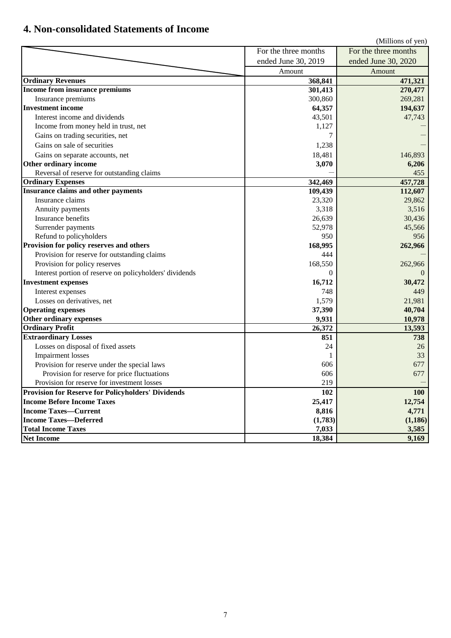# **4. Non-consolidated Statements of Income**

|                                                           |                      | (Millions of yen)    |
|-----------------------------------------------------------|----------------------|----------------------|
|                                                           | For the three months | For the three months |
|                                                           | ended June 30, 2019  | ended June 30, 2020  |
|                                                           | Amount               | Amount               |
| <b>Ordinary Revenues</b>                                  | 368,841              | 471,321              |
| Income from insurance premiums                            | 301,413              | 270,477              |
| Insurance premiums                                        | 300,860              | 269,281              |
| <b>Investment income</b>                                  | 64,357               | 194,637              |
| Interest income and dividends                             | 43,501               | 47,743               |
| Income from money held in trust, net                      | 1,127                |                      |
| Gains on trading securities, net                          |                      |                      |
| Gains on sale of securities                               | 1,238                |                      |
| Gains on separate accounts, net                           | 18,481               | 146,893              |
| Other ordinary income                                     | 3,070                | 6,206                |
| Reversal of reserve for outstanding claims                |                      | 455                  |
| <b>Ordinary Expenses</b>                                  | 342,469              | 457,728              |
| Insurance claims and other payments                       | 109,439              | 112,607              |
| Insurance claims                                          | 23,320               | 29,862               |
| Annuity payments                                          | 3,318                | 3,516                |
| Insurance benefits                                        | 26,639               | 30,436               |
| Surrender payments                                        | 52,978               | 45,566               |
| Refund to policyholders                                   | 950                  | 956                  |
| Provision for policy reserves and others                  | 168,995              | 262,966              |
| Provision for reserve for outstanding claims              | 444                  |                      |
| Provision for policy reserves                             | 168,550              | 262,966              |
| Interest portion of reserve on policyholders' dividends   | $\Omega$             |                      |
| <b>Investment expenses</b>                                | 16,712               | 30,472               |
| Interest expenses                                         | 748                  | 449                  |
| Losses on derivatives, net                                | 1,579                | 21,981               |
| <b>Operating expenses</b>                                 | 37,390               | 40,704               |
| Other ordinary expenses                                   | 9,931                | 10,978               |
| <b>Ordinary Profit</b>                                    | 26,372               | 13,593               |
| <b>Extraordinary Losses</b>                               | 851                  | 738                  |
| Losses on disposal of fixed assets                        | 24                   | 26                   |
| <b>Impairment</b> losses                                  |                      | 33                   |
| Provision for reserve under the special laws              | 606                  | 677                  |
| Provision for reserve for price fluctuations              | 606                  | 677                  |
| Provision for reserve for investment losses               | 219                  |                      |
| <b>Provision for Reserve for Policyholders' Dividends</b> | 102                  | 100                  |
| <b>Income Before Income Taxes</b>                         | 25,417               | 12,754               |
| <b>Income Taxes-Current</b>                               | 8,816                | 4,771                |
| <b>Income Taxes-Deferred</b>                              | (1,783)              | (1,186)              |
| <b>Total Income Taxes</b>                                 | 7,033                | 3,585                |
| <b>Net Income</b>                                         | 18,384               | 9,169                |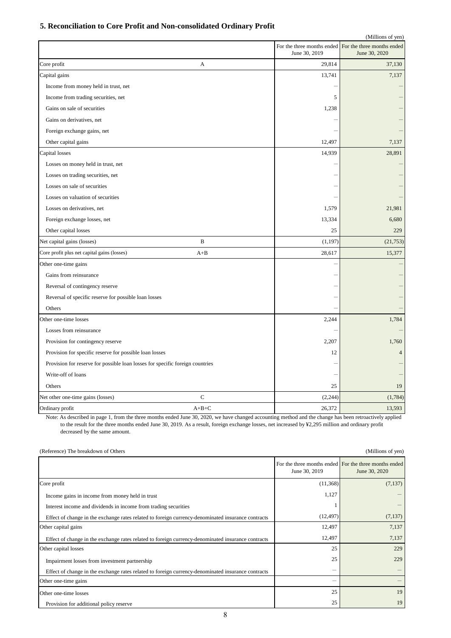## **5. Reconciliation to Core Profit and Non-consolidated Ordinary Profit**

|                                                                               |             |               | (Millions of yen)                                                      |
|-------------------------------------------------------------------------------|-------------|---------------|------------------------------------------------------------------------|
|                                                                               |             |               | For the three months ended For the three months ended<br>June 30, 2020 |
|                                                                               |             | June 30, 2019 |                                                                        |
| Core profit                                                                   | A           | 29,814        | 37,130                                                                 |
| Capital gains                                                                 |             | 13,741        | 7,137                                                                  |
| Income from money held in trust, net                                          |             |               |                                                                        |
| Income from trading securities, net                                           |             | 5             |                                                                        |
| Gains on sale of securities                                                   |             | 1,238         |                                                                        |
| Gains on derivatives, net                                                     |             |               |                                                                        |
| Foreign exchange gains, net                                                   |             |               |                                                                        |
| Other capital gains                                                           |             | 12,497        | 7,137                                                                  |
| Capital losses                                                                |             | 14,939        | 28,891                                                                 |
| Losses on money held in trust, net                                            |             |               |                                                                        |
| Losses on trading securities, net                                             |             |               |                                                                        |
| Losses on sale of securities                                                  |             |               |                                                                        |
| Losses on valuation of securities                                             |             |               |                                                                        |
| Losses on derivatives, net                                                    |             | 1,579         | 21,981                                                                 |
| Foreign exchange losses, net                                                  |             | 13,334        | 6,680                                                                  |
| Other capital losses                                                          |             | 25            | 229                                                                    |
| Net capital gains (losses)                                                    | B           | (1, 197)      | (21, 753)                                                              |
| Core profit plus net capital gains (losses)                                   | $A + B$     | 28,617        | 15,377                                                                 |
| Other one-time gains                                                          |             |               |                                                                        |
| Gains from reinsurance                                                        |             |               |                                                                        |
| Reversal of contingency reserve                                               |             |               |                                                                        |
| Reversal of specific reserve for possible loan losses                         |             |               |                                                                        |
| Others                                                                        |             |               |                                                                        |
| Other one-time losses                                                         |             | 2,244         | 1,784                                                                  |
| Losses from reinsurance                                                       |             |               |                                                                        |
| Provision for contingency reserve                                             |             | 2,207         | 1,760                                                                  |
| Provision for specific reserve for possible loan losses                       |             | 12            | $\overline{4}$                                                         |
| Provision for reserve for possible loan losses for specific foreign countries |             |               |                                                                        |
| Write-off of loans                                                            |             |               |                                                                        |
| Others                                                                        |             | 25            | 19                                                                     |
| Net other one-time gains (losses)                                             | $\mathbf C$ | (2, 244)      | (1,784)                                                                |
| Ordinary profit                                                               | $A+B+C$     | 26,372        | 13,593                                                                 |
|                                                                               |             |               |                                                                        |

Note: As described in page 1, from the three months ended June 30, 2020, we have changed accounting method and the change has been retroactively applied to the result for the three months ended June 30, 2019. As a result, foreign exchange losses, net increased by ¥2,295 million and ordinary profit decreased by the same amount.

(Reference) The breakdown of Others (Millions of yen)

|                                                                                                    | June 30, 2019 | For the three months ended For the three months ended<br>June 30, 2020 |
|----------------------------------------------------------------------------------------------------|---------------|------------------------------------------------------------------------|
| Core profit                                                                                        | (11, 368)     | (7,137)                                                                |
| Income gains in income from money held in trust                                                    | 1,127         |                                                                        |
| Interest income and dividends in income from trading securities                                    |               |                                                                        |
| Effect of change in the exchange rates related to foreign currency-denominated insurance contracts | (12, 497)     | (7,137)                                                                |
| Other capital gains                                                                                | 12,497        | 7,137                                                                  |
| Effect of change in the exchange rates related to foreign currency-denominated insurance contracts | 12,497        | 7,137                                                                  |
| Other capital losses                                                                               | 25            | 229                                                                    |
| Impairment losses from investment partnership                                                      | 25            | 229                                                                    |
| Effect of change in the exchange rates related to foreign currency-denominated insurance contracts | -             |                                                                        |
| Other one-time gains                                                                               | -             |                                                                        |
| Other one-time losses                                                                              | 25            | 19                                                                     |
| Provision for additional policy reserve                                                            | 25            | 19                                                                     |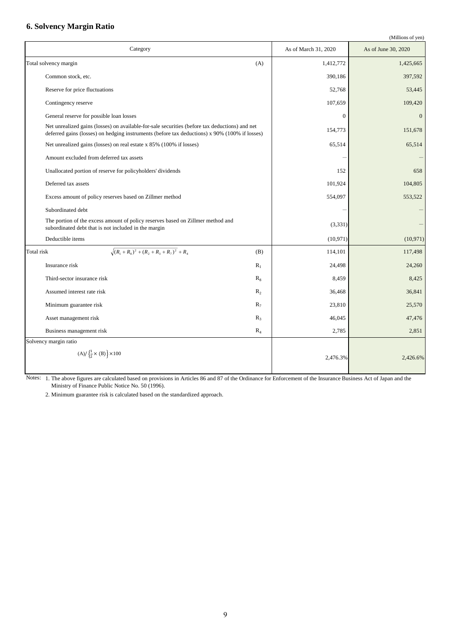# **6. Solvency Margin Ratio**

```
(Millions of yen)
```

| Category                                                                                                                                                                                        |                | As of March 31, 2020 | As of June 30, 2020 |
|-------------------------------------------------------------------------------------------------------------------------------------------------------------------------------------------------|----------------|----------------------|---------------------|
| Total solvency margin                                                                                                                                                                           | (A)            | 1,412,772            | 1,425,665           |
| Common stock, etc.                                                                                                                                                                              |                | 390,186              | 397,592             |
| Reserve for price fluctuations                                                                                                                                                                  |                | 52,768               | 53,445              |
| Contingency reserve                                                                                                                                                                             |                | 107,659              | 109,420             |
| General reserve for possible loan losses                                                                                                                                                        |                | $\overline{0}$       | $\overline{0}$      |
| Net unrealized gains (losses) on available-for-sale securities (before tax deductions) and net<br>deferred gains (losses) on hedging instruments (before tax deductions) x 90% (100% if losses) |                | 154,773              | 151,678             |
| Net unrealized gains (losses) on real estate x 85% (100% if losses)                                                                                                                             |                | 65,514               | 65,514              |
| Amount excluded from deferred tax assets                                                                                                                                                        |                |                      |                     |
| Unallocated portion of reserve for policyholders' dividends                                                                                                                                     |                | 152                  | 658                 |
| Deferred tax assets                                                                                                                                                                             |                | 101,924              | 104,805             |
| Excess amount of policy reserves based on Zillmer method                                                                                                                                        |                | 554,097              | 553,522             |
| Subordinated debt                                                                                                                                                                               |                |                      |                     |
| The portion of the excess amount of policy reserves based on Zillmer method and<br>subordinated debt that is not included in the margin                                                         |                | (3,331)              |                     |
| Deductible items                                                                                                                                                                                |                | (10, 971)            | (10, 971)           |
| $\sqrt{(R_1+R_8)^2+(R_2+R_3+R_7)^2}$ + R <sub>4</sub><br>Total risk                                                                                                                             | (B)            | 114,101              | 117,498             |
| Insurance risk                                                                                                                                                                                  | $R_1$          | 24,498               | 24,260              |
| Third-sector insurance risk                                                                                                                                                                     | $R_8$          | 8,459                | 8,425               |
| Assumed interest rate risk                                                                                                                                                                      | R <sub>2</sub> | 36,468               | 36,841              |
| Minimum guarantee risk                                                                                                                                                                          | $R_7$          | 23,810               | 25,570              |
| Asset management risk                                                                                                                                                                           | $R_3$          | 46,045               | 47,476              |
| Business management risk                                                                                                                                                                        | $R_4$          | 2,785                | 2,851               |
| Solvency margin ratio                                                                                                                                                                           |                |                      |                     |
| (A)/ $\left(\frac{1}{2} \times (B)\right) \times 100$                                                                                                                                           |                | 2,476.3%             | 2,426.6%            |

Notes: 1. The above figures are calculated based on provisions in Articles 86 and 87 of the Ordinance for Enforcement of the Insurance Business Act of Japan and the Ministry of Finance Public Notice No. 50 (1996).

2. Minimum guarantee risk is calculated based on the standardized approach.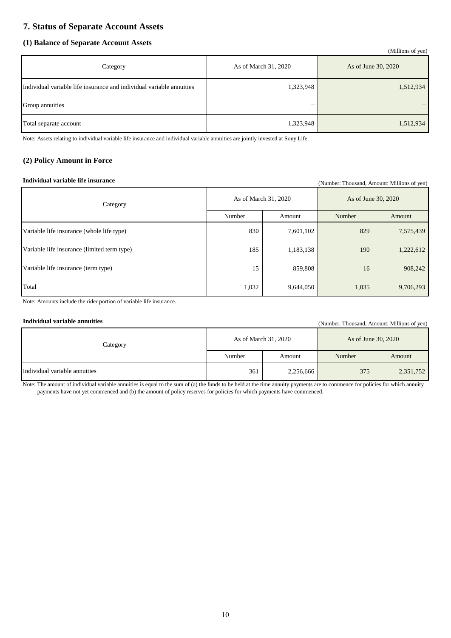# **7. Status of Separate Account Assets**

## **(1) Balance of Separate Account Assets**

|                                                                      |                      | (Millions of yen)   |
|----------------------------------------------------------------------|----------------------|---------------------|
| Category                                                             | As of March 31, 2020 | As of June 30, 2020 |
| Individual variable life insurance and individual variable annuities | 1,323,948            | 1,512,934           |
| Group annuities                                                      |                      | –                   |
| Total separate account                                               | 1,323,948            | 1,512,934           |

Note: Assets relating to individual variable life insurance and individual variable annuities are jointly invested at Sony Life.

## **(2) Policy Amount in Force**

## **Individual variable life insurance** (Number: Thousand, Amount: Millions of yen)

| Category                                    | As of March 31, 2020 |           | As of June 30, 2020 |           |
|---------------------------------------------|----------------------|-----------|---------------------|-----------|
|                                             | Number               | Amount    | Number              | Amount    |
| Variable life insurance (whole life type)   | 830                  | 7,601,102 | 829                 | 7,575,439 |
| Variable life insurance (limited term type) | 185                  | 1,183,138 | 190                 | 1,222,612 |
| Variable life insurance (term type)         | 15                   | 859,808   | 16                  | 908,242   |
| Total                                       | 1,032                | 9,644,050 | 1,035               | 9,706,293 |

Note: Amounts include the rider portion of variable life insurance.

**Individual variable annuities** (Number: Thousand, Amount: Millions of yen)

| Category                      | As of March 31, 2020 |           | As of June 30, 2020 |           |
|-------------------------------|----------------------|-----------|---------------------|-----------|
|                               | Number               | Amount    | Number              | Amount    |
| Individual variable annuities | 361                  | 2,256,666 | 375                 | 2,351,752 |

Note: The amount of individual variable annuities is equal to the sum of (a) the funds to be held at the time annuity payments are to commence for policies for which annuity payments have not yet commenced and (b) the amount of policy reserves for policies for which payments have commenced.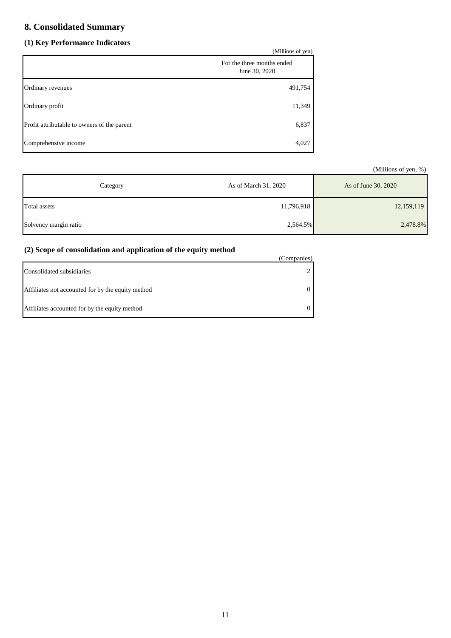# **8. Consolidated Summary**

# **(1) Key Performance Indicators**

| (1) Ney Performance mulcators<br>(Millions of yen) |                                             |  |
|----------------------------------------------------|---------------------------------------------|--|
|                                                    | For the three months ended<br>June 30, 2020 |  |
| Ordinary revenues                                  | 491,754                                     |  |
| Ordinary profit                                    | 11,349                                      |  |
| Profit attributable to owners of the parent        | 6,837                                       |  |
| Comprehensive income                               | 4,027                                       |  |

(Millions of yen, %)

| Category              | As of March 31, 2020 | As of June 30, 2020 |
|-----------------------|----------------------|---------------------|
| Total assets          | 11,796,918           | 12,159,119          |
| Solvency margin ratio | 2,564.5%             | 2,478.8%            |

# **(2) Scope of consolidation and application of the equity method**

| $\mathcal{L}$ beope of consolidation and application of the equity include | (Companies) |
|----------------------------------------------------------------------------|-------------|
| Consolidated subsidiaries                                                  |             |
| Affiliates not accounted for by the equity method                          |             |
| Affiliates accounted for by the equity method                              |             |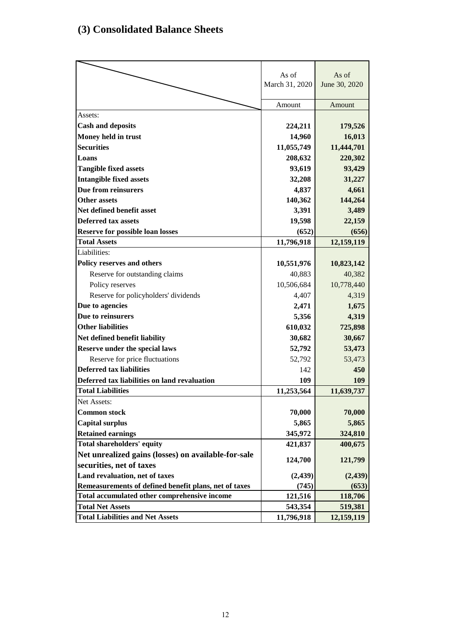# **(3) Consolidated Balance Sheets**

|                                                       | As of          | As of         |
|-------------------------------------------------------|----------------|---------------|
|                                                       | March 31, 2020 | June 30, 2020 |
|                                                       |                |               |
|                                                       | Amount         | Amount        |
| Assets:                                               |                |               |
| <b>Cash and deposits</b>                              | 224,211        | 179,526       |
| Money held in trust                                   | 14,960         | 16,013        |
| <b>Securities</b>                                     | 11,055,749     | 11,444,701    |
| Loans                                                 | 208,632        | 220,302       |
| <b>Tangible fixed assets</b>                          | 93,619         | 93,429        |
| <b>Intangible fixed assets</b>                        | 32,208         | 31,227        |
| Due from reinsurers                                   | 4,837          | 4,661         |
| <b>Other assets</b>                                   | 140,362        | 144,264       |
| Net defined benefit asset                             | 3,391          | 3,489         |
| <b>Deferred tax assets</b>                            | 19,598         | 22,159        |
| <b>Reserve for possible loan losses</b>               | (652)          | (656)         |
| <b>Total Assets</b>                                   | 11,796,918     | 12,159,119    |
| Liabilities:                                          |                |               |
| Policy reserves and others                            | 10,551,976     | 10,823,142    |
| Reserve for outstanding claims                        | 40,883         | 40,382        |
| Policy reserves                                       | 10,506,684     | 10,778,440    |
| Reserve for policyholders' dividends                  | 4,407          | 4,319         |
| Due to agencies                                       | 2,471          | 1,675         |
| Due to reinsurers                                     | 5,356          | 4,319         |
| <b>Other liabilities</b>                              | 610,032        | 725,898       |
| Net defined benefit liability                         | 30,682         | 30,667        |
| Reserve under the special laws                        | 52,792         | 53,473        |
| Reserve for price fluctuations                        | 52,792         | 53,473        |
| <b>Deferred tax liabilities</b>                       | 142            | 450           |
| Deferred tax liabilities on land revaluation          | 109            | 109           |
| <b>Total Liabilities</b>                              | 11,253,564     | 11,639,737    |
| Net Assets:                                           |                |               |
| <b>Common stock</b>                                   | 70,000         | 70,000        |
| <b>Capital surplus</b>                                | 5,865          | 5,865         |
| <b>Retained earnings</b>                              | 345,972        | 324,810       |
| Total shareholders' equity                            | 421,837        | 400,675       |
| Net unrealized gains (losses) on available-for-sale   | 124,700        |               |
| securities, net of taxes                              |                | 121,799       |
| Land revaluation, net of taxes                        | (2, 439)       | (2, 439)      |
| Remeasurements of defined benefit plans, net of taxes | (745)          | (653)         |
| Total accumulated other comprehensive income          | 121,516        | 118,706       |
| <b>Total Net Assets</b>                               | 543,354        | 519,381       |
| <b>Total Liabilities and Net Assets</b>               | 11,796,918     | 12,159,119    |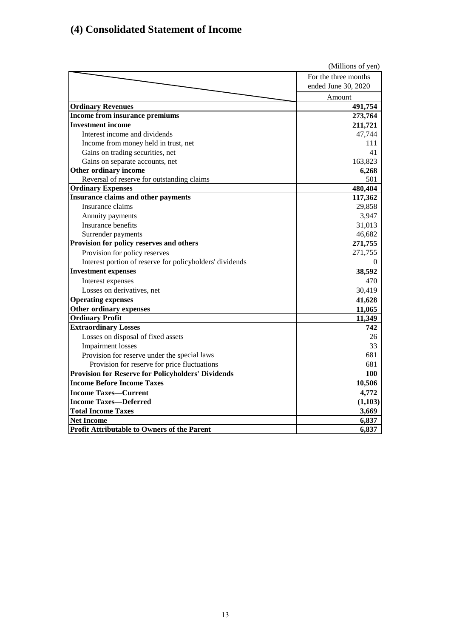# **(4) Consolidated Statement of Income**

|                                                           | (Millions of yen)    |
|-----------------------------------------------------------|----------------------|
|                                                           | For the three months |
|                                                           | ended June 30, 2020  |
|                                                           | Amount               |
| <b>Ordinary Revenues</b>                                  | 491,754              |
| Income from insurance premiums                            | 273,764              |
| <b>Investment income</b>                                  | 211,721              |
| Interest income and dividends                             | 47,744               |
| Income from money held in trust, net                      | 111                  |
| Gains on trading securities, net                          | 41                   |
| Gains on separate accounts, net                           | 163,823              |
| Other ordinary income                                     | 6,268                |
| Reversal of reserve for outstanding claims                | 501                  |
| <b>Ordinary Expenses</b>                                  | 480,404              |
| <b>Insurance claims and other payments</b>                | 117,362              |
| Insurance claims                                          | 29,858               |
| Annuity payments                                          | 3,947                |
| Insurance benefits                                        | 31,013               |
| Surrender payments                                        | 46,682               |
| Provision for policy reserves and others                  | 271,755              |
| Provision for policy reserves                             | 271,755              |
| Interest portion of reserve for policyholders' dividends  | $\theta$             |
| <b>Investment expenses</b>                                | 38,592               |
| Interest expenses                                         | 470                  |
| Losses on derivatives, net                                | 30,419               |
| <b>Operating expenses</b>                                 | 41,628               |
| Other ordinary expenses                                   | 11,065               |
| <b>Ordinary Profit</b>                                    | 11,349               |
| <b>Extraordinary Losses</b>                               | 742                  |
| Losses on disposal of fixed assets                        | 26                   |
| <b>Impairment</b> losses                                  | 33                   |
| Provision for reserve under the special laws              | 681                  |
| Provision for reserve for price fluctuations              | 681                  |
| <b>Provision for Reserve for Policyholders' Dividends</b> | 100                  |
| <b>Income Before Income Taxes</b>                         | 10,506               |
| <b>Income Taxes-Current</b>                               | 4,772                |
| <b>Income Taxes-Deferred</b>                              | (1,103)              |
| <b>Total Income Taxes</b>                                 | 3,669                |
| <b>Net Income</b>                                         | 6,837                |
| <b>Profit Attributable to Owners of the Parent</b>        | 6,837                |